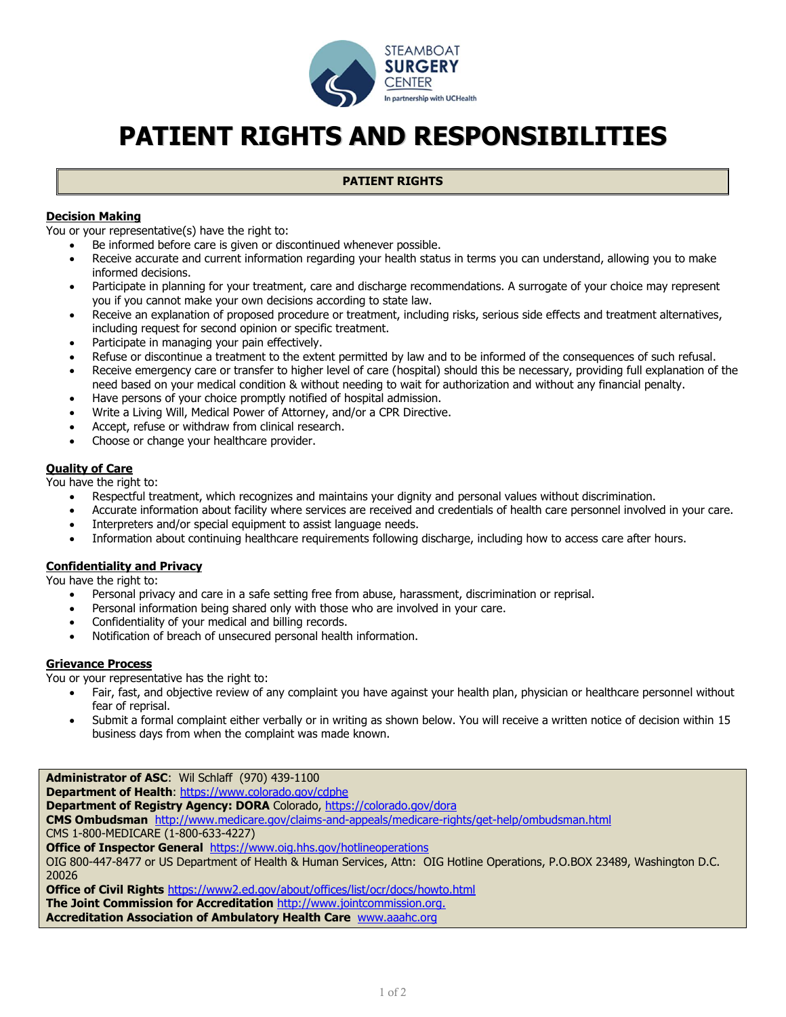

# **PATIENT RIGHTS AND RESPONSIBILITIES**

## **PATIENT RIGHTS**

## **Decision Making**

You or your representative(s) have the right to:

- Be informed before care is given or discontinued whenever possible.
- Receive accurate and current information regarding your health status in terms you can understand, allowing you to make informed decisions.
- Participate in planning for your treatment, care and discharge recommendations. A surrogate of your choice may represent you if you cannot make your own decisions according to state law.
- Receive an explanation of proposed procedure or treatment, including risks, serious side effects and treatment alternatives, including request for second opinion or specific treatment.
- Participate in managing your pain effectively.
- Refuse or discontinue a treatment to the extent permitted by law and to be informed of the consequences of such refusal.
- Receive emergency care or transfer to higher level of care (hospital) should this be necessary, providing full explanation of the need based on your medical condition & without needing to wait for authorization and without any financial penalty.
- Have persons of your choice promptly notified of hospital admission.
- Write a Living Will, Medical Power of Attorney, and/or a CPR Directive.
- Accept, refuse or withdraw from clinical research.
- Choose or change your healthcare provider.

## **Quality of Care**

You have the right to:

- Respectful treatment, which recognizes and maintains your dignity and personal values without discrimination.
- Accurate information about facility where services are received and credentials of health care personnel involved in your care.
- Interpreters and/or special equipment to assist language needs.
- Information about continuing healthcare requirements following discharge, including how to access care after hours.

## **Confidentiality and Privacy**

You have the right to:

- Personal privacy and care in a safe setting free from abuse, harassment, discrimination or reprisal.
- Personal information being shared only with those who are involved in your care.
- Confidentiality of your medical and billing records.
- Notification of breach of unsecured personal health information.

## **Grievance Process**

You or your representative has the right to:

- Fair, fast, and objective review of any complaint you have against your health plan, physician or healthcare personnel without fear of reprisal.
- Submit a formal complaint either verbally or in writing as shown below. You will receive a written notice of decision within 15 business days from when the complaint was made known.

**Administrator of ASC**: Wil Schlaff (970) 439-1100 **Department of Health**: <https://www.colorado.gov/cdphe> **Department of Registry Agency: DORA** Colorado,<https://colorado.gov/dora> **CMS Ombudsman** <http://www.medicare.gov/claims-and-appeals/medicare-rights/get-help/ombudsman.html> CMS 1-800-MEDICARE (1-800-633-4227) **Office of Inspector General** <https://www.oig.hhs.gov/hotlineoperations> OIG 800-447-8477 or US Department of Health & Human Services, Attn: OIG Hotline Operations, P.O.BOX 23489, Washington D.C. 20026 **Office of Civil Rights** <https://www2.ed.gov/about/offices/list/ocr/docs/howto.html> **The Joint Commission for Accreditation** [http://www.jointcommission.org.](http://www.jointcommission.org/)

**Accreditation Association of Ambulatory Health Care** [www.aaahc.org](http://www.aaahc.org/)